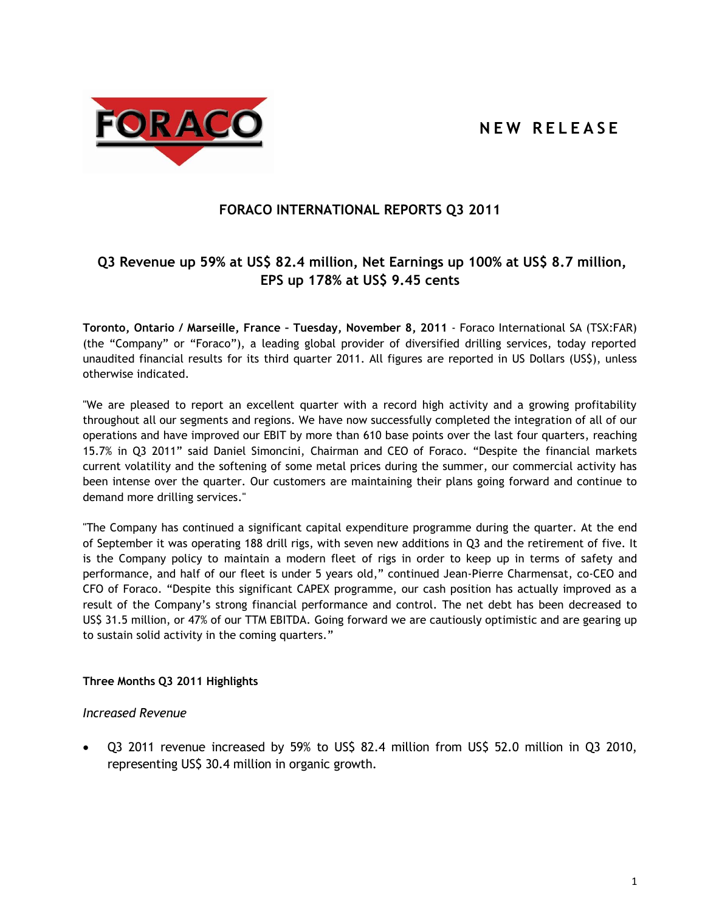# **N E W R E L E A S E**



# **FORACO INTERNATIONAL REPORTS Q3 2011**

# **Q3 Revenue up 59% at US\$ 82.4 million, Net Earnings up 100% at US\$ 8.7 million, EPS up 178% at US\$ 9.45 cents**

**Toronto, Ontario / Marseille, France – Tuesday, November 8, 2011** - Foraco International SA (TSX:FAR) (the "Company" or "Foraco"), a leading global provider of diversified drilling services, today reported unaudited financial results for its third quarter 2011. All figures are reported in US Dollars (US\$), unless otherwise indicated.

"We are pleased to report an excellent quarter with a record high activity and a growing profitability throughout all our segments and regions. We have now successfully completed the integration of all of our operations and have improved our EBIT by more than 610 base points over the last four quarters, reaching 15.7% in Q3 2011" said Daniel Simoncini, Chairman and CEO of Foraco. "Despite the financial markets current volatility and the softening of some metal prices during the summer, our commercial activity has been intense over the quarter. Our customers are maintaining their plans going forward and continue to demand more drilling services."

"The Company has continued a significant capital expenditure programme during the quarter. At the end of September it was operating 188 drill rigs, with seven new additions in Q3 and the retirement of five. It is the Company policy to maintain a modern fleet of rigs in order to keep up in terms of safety and performance, and half of our fleet is under 5 years old," continued Jean-Pierre Charmensat, co-CEO and CFO of Foraco. "Despite this significant CAPEX programme, our cash position has actually improved as a result of the Company's strong financial performance and control. The net debt has been decreased to US\$ 31.5 million, or 47% of our TTM EBITDA. Going forward we are cautiously optimistic and are gearing up to sustain solid activity in the coming quarters."

# **Three Months Q3 2011 Highlights**

# *Increased Revenue*

 Q3 2011 revenue increased by 59% to US\$ 82.4 million from US\$ 52.0 million in Q3 2010, representing US\$ 30.4 million in organic growth.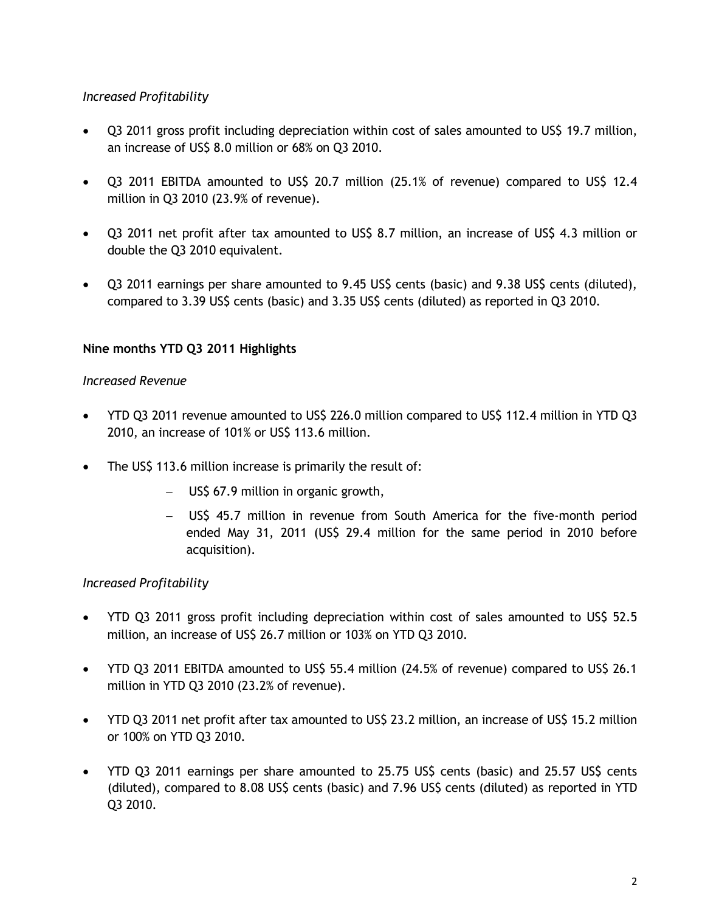# *Increased Profitability*

- Q3 2011 gross profit including depreciation within cost of sales amounted to US\$ 19.7 million, an increase of US\$ 8.0 million or 68% on Q3 2010.
- Q3 2011 EBITDA amounted to US\$ 20.7 million (25.1% of revenue) compared to US\$ 12.4 million in Q3 2010 (23.9% of revenue).
- Q3 2011 net profit after tax amounted to US\$ 8.7 million, an increase of US\$ 4.3 million or double the Q3 2010 equivalent.
- Q3 2011 earnings per share amounted to 9.45 US\$ cents (basic) and 9.38 US\$ cents (diluted), compared to 3.39 US\$ cents (basic) and 3.35 US\$ cents (diluted) as reported in Q3 2010.

# **Nine months YTD Q3 2011 Highlights**

# *Increased Revenue*

- YTD Q3 2011 revenue amounted to US\$ 226.0 million compared to US\$ 112.4 million in YTD Q3 2010, an increase of 101% or US\$ 113.6 million.
- The US\$ 113.6 million increase is primarily the result of:
	- US\$ 67.9 million in organic growth,
	- US\$ 45.7 million in revenue from South America for the five-month period ended May 31, 2011 (US\$ 29.4 million for the same period in 2010 before acquisition).

# *Increased Profitability*

- YTD Q3 2011 gross profit including depreciation within cost of sales amounted to US\$ 52.5 million, an increase of US\$ 26.7 million or 103% on YTD Q3 2010.
- YTD Q3 2011 EBITDA amounted to US\$ 55.4 million (24.5% of revenue) compared to US\$ 26.1 million in YTD Q3 2010 (23.2% of revenue).
- YTD Q3 2011 net profit after tax amounted to US\$ 23.2 million, an increase of US\$ 15.2 million or 100% on YTD Q3 2010.
- YTD Q3 2011 earnings per share amounted to 25.75 US\$ cents (basic) and 25.57 US\$ cents (diluted), compared to 8.08 US\$ cents (basic) and 7.96 US\$ cents (diluted) as reported in YTD Q3 2010.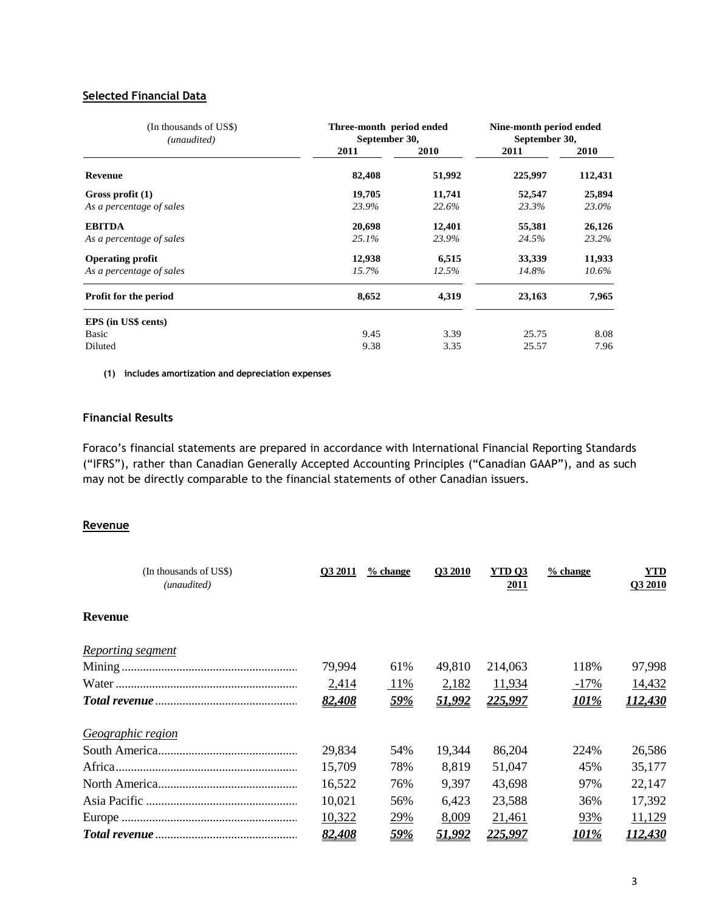#### **Selected Financial Data**

| (In thousands of US\$)<br>(unaudited) | Three-month period ended<br>September 30, | Nine-month period ended<br>September 30, |         |          |
|---------------------------------------|-------------------------------------------|------------------------------------------|---------|----------|
|                                       | 2011                                      | 2010                                     | 2011    | 2010     |
| <b>Revenue</b>                        | 82,408                                    | 51,992                                   | 225,997 | 112,431  |
| Gross profit $(1)$                    | 19,705                                    | 11,741                                   | 52,547  | 25,894   |
| As a percentage of sales              | 23.9%                                     | 22.6%                                    | 23.3%   | 23.0%    |
| <b>EBITDA</b>                         | 20,698                                    | 12,401                                   | 55,381  | 26,126   |
| As a percentage of sales              | 25.1%                                     | 23.9%                                    | 24.5%   | 23.2%    |
| <b>Operating profit</b>               | 12,938                                    | 6,515                                    | 33,339  | 11,933   |
| As a percentage of sales              | 15.7%                                     | 12.5%                                    | 14.8%   | $10.6\%$ |
| Profit for the period                 | 8,652                                     | 4,319                                    | 23,163  | 7,965    |
| EPS (in US\$ cents)                   |                                           |                                          |         |          |
| Basic                                 | 9.45                                      | 3.39                                     | 25.75   | 8.08     |
| Diluted                               | 9.38                                      | 3.35                                     | 25.57   | 7.96     |

**(1) includes amortization and depreciation expenses**

# **Financial Results**

Foraco's financial statements are prepared in accordance with International Financial Reporting Standards ("IFRS"), rather than Canadian Generally Accepted Accounting Principles ("Canadian GAAP"), and as such may not be directly comparable to the financial statements of other Canadian issuers.

#### **Revenue**

| (In thousands of US\$)<br>(unaudited) | O3 2011 | % change   | <b>O3 2010</b> | YTD <sub>O3</sub><br><u>2011</u> | $%$ change | YTD<br>Q3 2010 |
|---------------------------------------|---------|------------|----------------|----------------------------------|------------|----------------|
| <b>Revenue</b>                        |         |            |                |                                  |            |                |
| Reporting segment                     |         |            |                |                                  |            |                |
|                                       | 79,994  | 61%        | 49,810         | 214,063                          | 118%       | 97,998         |
|                                       | 2,414   | 11%        | 2,182          | 11,934                           | $-17%$     | 14,432         |
|                                       | 82,408  | <u>59%</u> | 51,992         | 225,997                          | 101%       | 112,430        |
| Geographic region                     |         |            |                |                                  |            |                |
|                                       | 29,834  | 54%        | 19,344         | 86,204                           | 224%       | 26,586         |
|                                       | 15,709  | 78%        | 8,819          | 51,047                           | 45%        | 35,177         |
|                                       | 16,522  | 76%        | 9,397          | 43,698                           | 97%        | 22,147         |
|                                       | 10,021  | 56%        | 6,423          | 23,588                           | 36%        | 17,392         |
|                                       | 10,322  | 29%        | 8,009          | 21,461                           | 93%        | 11,129         |
|                                       | 82,408  | <u>59%</u> | 51,992         | 225,997                          | 101%       | 112,430        |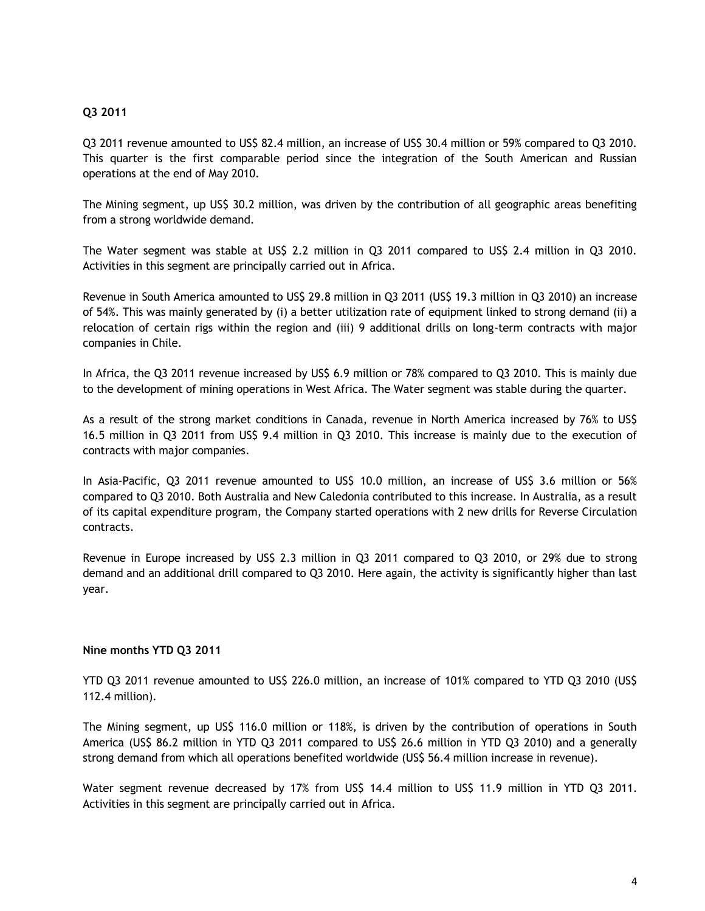## **Q3 2011**

Q3 2011 revenue amounted to US\$ 82.4 million, an increase of US\$ 30.4 million or 59% compared to Q3 2010. This quarter is the first comparable period since the integration of the South American and Russian operations at the end of May 2010.

The Mining segment, up US\$ 30.2 million, was driven by the contribution of all geographic areas benefiting from a strong worldwide demand.

The Water segment was stable at US\$ 2.2 million in Q3 2011 compared to US\$ 2.4 million in Q3 2010. Activities in this segment are principally carried out in Africa.

Revenue in South America amounted to US\$ 29.8 million in Q3 2011 (US\$ 19.3 million in Q3 2010) an increase of 54%. This was mainly generated by (i) a better utilization rate of equipment linked to strong demand (ii) a relocation of certain rigs within the region and (iii) 9 additional drills on long-term contracts with major companies in Chile.

In Africa, the Q3 2011 revenue increased by US\$ 6.9 million or 78% compared to Q3 2010. This is mainly due to the development of mining operations in West Africa. The Water segment was stable during the quarter.

As a result of the strong market conditions in Canada, revenue in North America increased by 76% to US\$ 16.5 million in Q3 2011 from US\$ 9.4 million in Q3 2010. This increase is mainly due to the execution of contracts with major companies.

In Asia-Pacific, Q3 2011 revenue amounted to US\$ 10.0 million, an increase of US\$ 3.6 million or 56% compared to Q3 2010. Both Australia and New Caledonia contributed to this increase. In Australia, as a result of its capital expenditure program, the Company started operations with 2 new drills for Reverse Circulation contracts.

Revenue in Europe increased by US\$ 2.3 million in Q3 2011 compared to Q3 2010, or 29% due to strong demand and an additional drill compared to Q3 2010. Here again, the activity is significantly higher than last year.

## **Nine months YTD Q3 2011**

YTD Q3 2011 revenue amounted to US\$ 226.0 million, an increase of 101% compared to YTD Q3 2010 (US\$ 112.4 million).

The Mining segment, up US\$ 116.0 million or 118%, is driven by the contribution of operations in South America (US\$ 86.2 million in YTD Q3 2011 compared to US\$ 26.6 million in YTD Q3 2010) and a generally strong demand from which all operations benefited worldwide (US\$ 56.4 million increase in revenue).

Water segment revenue decreased by 17% from US\$ 14.4 million to US\$ 11.9 million in YTD Q3 2011. Activities in this segment are principally carried out in Africa.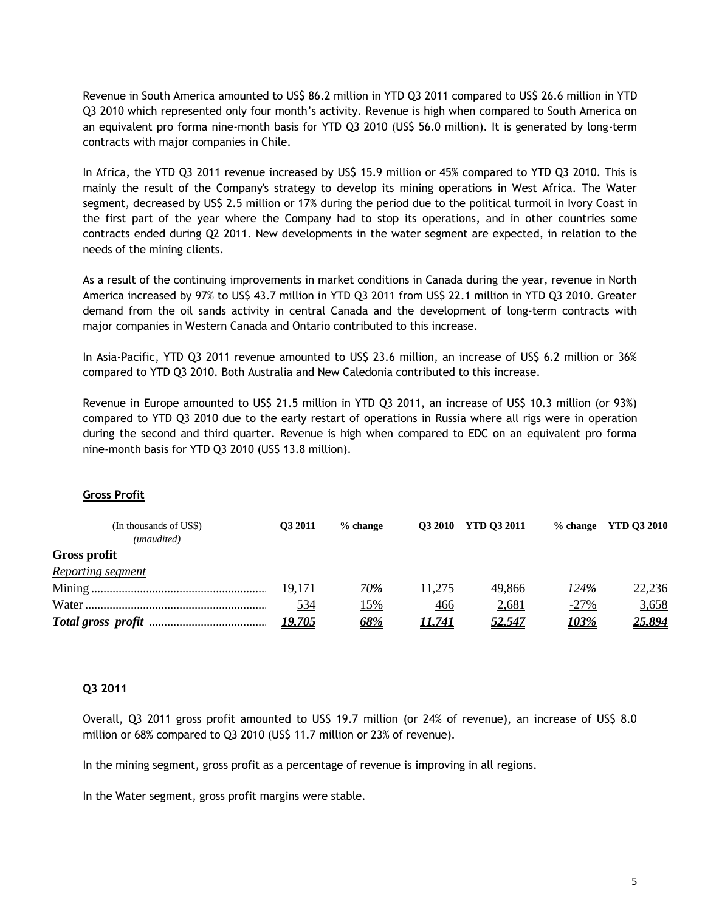Revenue in South America amounted to US\$ 86.2 million in YTD Q3 2011 compared to US\$ 26.6 million in YTD Q3 2010 which represented only four month's activity. Revenue is high when compared to South America on an equivalent pro forma nine-month basis for YTD Q3 2010 (US\$ 56.0 million). It is generated by long-term contracts with major companies in Chile.

In Africa, the YTD Q3 2011 revenue increased by US\$ 15.9 million or 45% compared to YTD Q3 2010. This is mainly the result of the Company's strategy to develop its mining operations in West Africa. The Water segment, decreased by US\$ 2.5 million or 17% during the period due to the political turmoil in Ivory Coast in the first part of the year where the Company had to stop its operations, and in other countries some contracts ended during Q2 2011. New developments in the water segment are expected, in relation to the needs of the mining clients.

As a result of the continuing improvements in market conditions in Canada during the year, revenue in North America increased by 97% to US\$ 43.7 million in YTD Q3 2011 from US\$ 22.1 million in YTD Q3 2010. Greater demand from the oil sands activity in central Canada and the development of long-term contracts with major companies in Western Canada and Ontario contributed to this increase.

In Asia-Pacific, YTD Q3 2011 revenue amounted to US\$ 23.6 million, an increase of US\$ 6.2 million or 36% compared to YTD Q3 2010. Both Australia and New Caledonia contributed to this increase.

Revenue in Europe amounted to US\$ 21.5 million in YTD Q3 2011, an increase of US\$ 10.3 million (or 93%) compared to YTD Q3 2010 due to the early restart of operations in Russia where all rigs were in operation during the second and third quarter. Revenue is high when compared to EDC on an equivalent pro forma nine-month basis for YTD Q3 2010 (US\$ 13.8 million).

#### **Gross Profit**

| (In thousands of US\$)<br>(unaudited) | O3 2011       | $%$ change | <b>O3 2010</b> | <b>YTD 03 2011</b> | $%$ change    | YTD 03 2010    |
|---------------------------------------|---------------|------------|----------------|--------------------|---------------|----------------|
| <b>Gross profit</b>                   |               |            |                |                    |               |                |
| <b>Reporting segment</b>              |               |            |                |                    |               |                |
|                                       | 19,171        | 70%        | 11.275         | 49.866             | 124%          | 22,236         |
|                                       | 534           | 15%        | 466            | 2,681              | $-27%$        | 3,658          |
|                                       | <u>19,705</u> | <u>68%</u> | 11,741         | <u>52,547</u>      | <u> 103% </u> | <u> 25,894</u> |

#### **Q3 2011**

Overall, Q3 2011 gross profit amounted to US\$ 19.7 million (or 24% of revenue), an increase of US\$ 8.0 million or 68% compared to Q3 2010 (US\$ 11.7 million or 23% of revenue).

In the mining segment, gross profit as a percentage of revenue is improving in all regions.

In the Water segment, gross profit margins were stable.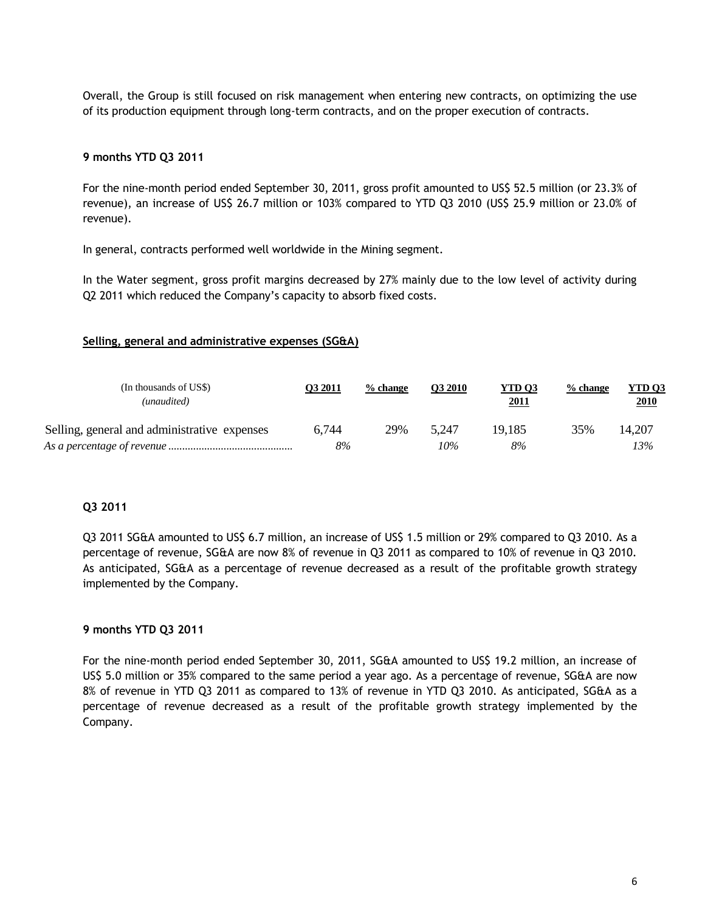Overall, the Group is still focused on risk management when entering new contracts, on optimizing the use of its production equipment through long-term contracts, and on the proper execution of contracts.

#### **9 months YTD Q3 2011**

For the nine-month period ended September 30, 2011, gross profit amounted to US\$ 52.5 million (or 23.3% of revenue), an increase of US\$ 26.7 million or 103% compared to YTD Q3 2010 (US\$ 25.9 million or 23.0% of revenue).

In general, contracts performed well worldwide in the Mining segment.

In the Water segment, gross profit margins decreased by 27% mainly due to the low level of activity during Q2 2011 which reduced the Company's capacity to absorb fixed costs.

#### **Selling, general and administrative expenses (SG&A)**

| (In thousands of US\$)<br>(unaudited)        | <b>O3 2011</b> | $%$ change | O3 2010 | YTD <sub>03</sub><br><u>2011</u> | $%$ change | YTD 03<br><b>2010</b> |
|----------------------------------------------|----------------|------------|---------|----------------------------------|------------|-----------------------|
| Selling, general and administrative expenses | 6.744          | 29%        | 5.247   | 19,185                           | 35%        | 14,207                |
|                                              | 8%             |            | 10%     | 8%                               |            | 13%                   |

#### **Q3 2011**

Q3 2011 SG&A amounted to US\$ 6.7 million, an increase of US\$ 1.5 million or 29% compared to Q3 2010. As a percentage of revenue, SG&A are now 8% of revenue in Q3 2011 as compared to 10% of revenue in Q3 2010. As anticipated, SG&A as a percentage of revenue decreased as a result of the profitable growth strategy implemented by the Company.

#### **9 months YTD Q3 2011**

For the nine-month period ended September 30, 2011, SG&A amounted to US\$ 19.2 million, an increase of US\$ 5.0 million or 35% compared to the same period a year ago. As a percentage of revenue, SG&A are now 8% of revenue in YTD Q3 2011 as compared to 13% of revenue in YTD Q3 2010. As anticipated, SG&A as a percentage of revenue decreased as a result of the profitable growth strategy implemented by the Company.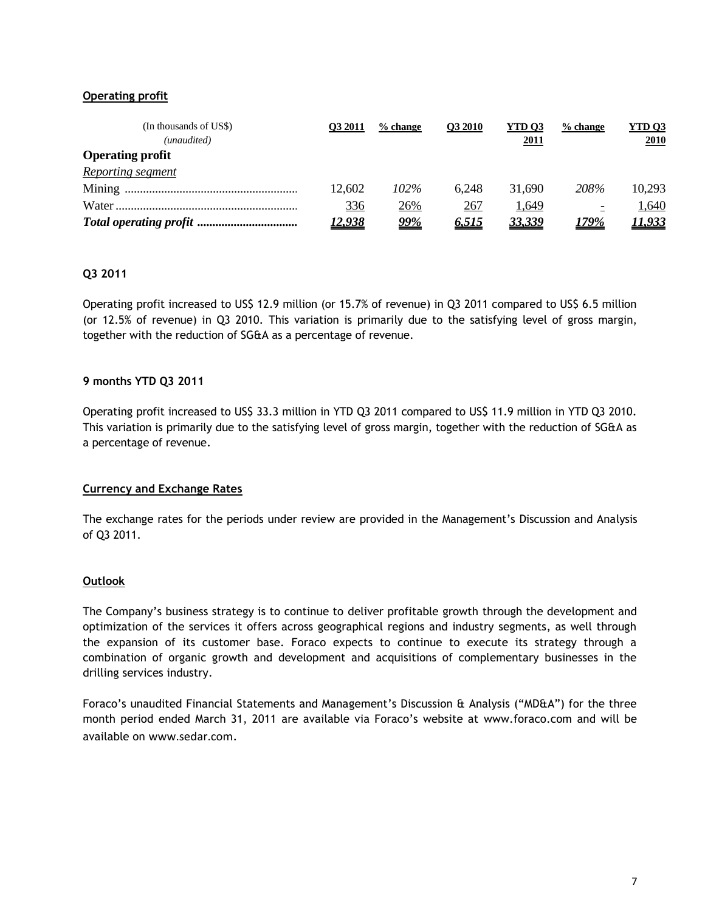## **Operating profit**

| (In thousands of US\$)<br>(unaudited) | <b>O3 2011</b> | $%$ change | <b>O3 2010</b> | YTD <sub>03</sub><br>2011 | $%$ change               | <b>YTD 03</b><br>2010 |
|---------------------------------------|----------------|------------|----------------|---------------------------|--------------------------|-----------------------|
| <b>Operating profit</b>               |                |            |                |                           |                          |                       |
| Reporting segment                     |                |            |                |                           |                          |                       |
|                                       | 12,602         | $102\%$    | 6.248          | 31,690                    | 208%                     | 10,293                |
|                                       | 336            | 26%        | 267            | 1,649                     | $\overline{\phantom{0}}$ | 1,640                 |
|                                       | <u>12,938</u>  | <u>99%</u> | <u>6,515</u>   | 33,339                    | 179%                     | <u>I,933</u>          |

## **Q3 2011**

Operating profit increased to US\$ 12.9 million (or 15.7% of revenue) in Q3 2011 compared to US\$ 6.5 million (or 12.5% of revenue) in Q3 2010. This variation is primarily due to the satisfying level of gross margin, together with the reduction of SG&A as a percentage of revenue.

## **9 months YTD Q3 2011**

Operating profit increased to US\$ 33.3 million in YTD Q3 2011 compared to US\$ 11.9 million in YTD Q3 2010. This variation is primarily due to the satisfying level of gross margin, together with the reduction of SG&A as a percentage of revenue.

## **Currency and Exchange Rates**

The exchange rates for the periods under review are provided in the Management's Discussion and Analysis of Q3 2011.

## **Outlook**

The Company's business strategy is to continue to deliver profitable growth through the development and optimization of the services it offers across geographical regions and industry segments, as well through the expansion of its customer base. Foraco expects to continue to execute its strategy through a combination of organic growth and development and acquisitions of complementary businesses in the drilling services industry.

Foraco's unaudited Financial Statements and Management's Discussion & Analysis ("MD&A") for the three month period ended March 31, 2011 are available via Foraco's website at [www.foraco.com](http://www.foraco.com/) and will be available on [www.sedar.com](http://www.sedar.com/).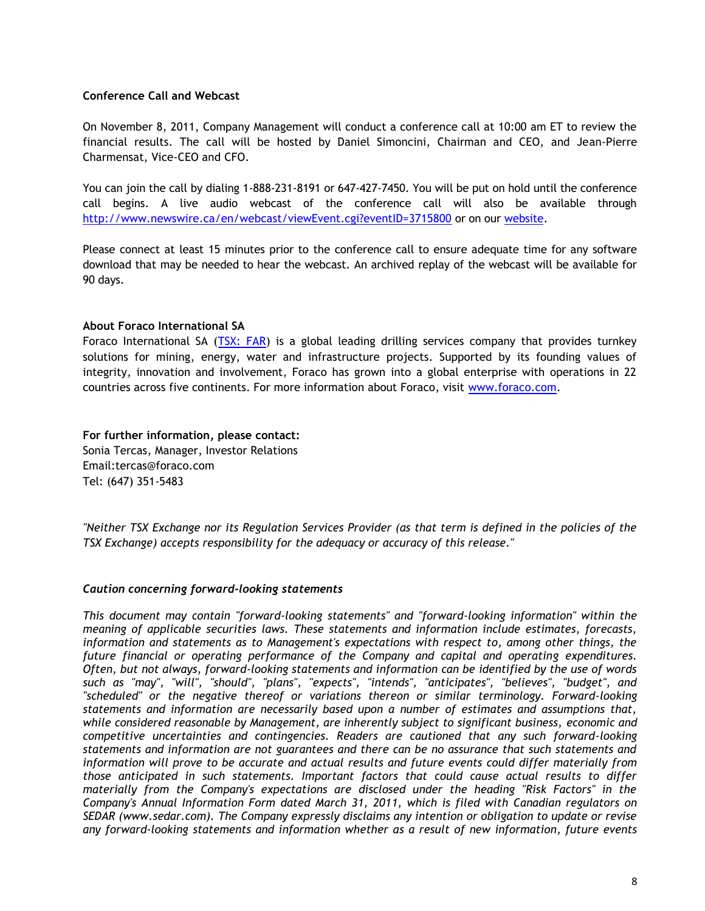## **Conference Call and Webcast**

On November 8, 2011, Company Management will conduct a conference call at 10:00 am ET to review the financial results. The call will be hosted by Daniel Simoncini, Chairman and CEO, and Jean-Pierre Charmensat, Vice-CEO and CFO.

You can join the call by dialing 1-888-231-8191 or 647-427-7450. You will be put on hold until the conference call begins. A live audio webcast of the conference call will also be available through <http://www.newswire.ca/en/webcast/viewEvent.cgi?eventID=3715800> or on our [website.](http://www.foraco.com/index.php/investors/events-a-earnings-calendar)

Please connect at least 15 minutes prior to the conference call to ensure adequate time for any software download that may be needed to hear the webcast. An archived replay of the webcast will be available for 90 days.

#### **About Foraco International SA**

Foraco International SA [\(TSX: FAR\)](http://tmx.quotemedia.com/quote.php?qm_symbol=FAR&locale=EN) is a global leading drilling services company that provides turnkey solutions for mining, energy, water and infrastructure projects. Supported by its founding values of integrity, innovation and involvement, Foraco has grown into a global enterprise with operations in 22 countries across five continents. For more information about Foraco, visit [www.foraco.com.](http://www.foraco.com/)

**For further information, please contact:** Sonia Tercas, Manager, Investor Relations Email:tercas@foraco.com Tel: (647) 351-5483

*"Neither TSX Exchange nor its Regulation Services Provider (as that term is defined in the policies of the TSX Exchange) accepts responsibility for the adequacy or accuracy of this release."*

#### *Caution concerning forward-looking statements*

*This document may contain "forward-looking statements" and "forward-looking information" within the meaning of applicable securities laws. These statements and information include estimates, forecasts, information and statements as to Management's expectations with respect to, among other things, the future financial or operating performance of the Company and capital and operating expenditures. Often, but not always, forward-looking statements and information can be identified by the use of words such as "may", "will", "should", "plans", "expects", "intends", "anticipates", "believes", "budget", and "scheduled" or the negative thereof or variations thereon or similar terminology. Forward-looking statements and information are necessarily based upon a number of estimates and assumptions that, while considered reasonable by Management, are inherently subject to significant business, economic and competitive uncertainties and contingencies. Readers are cautioned that any such forward-looking statements and information are not guarantees and there can be no assurance that such statements and information will prove to be accurate and actual results and future events could differ materially from those anticipated in such statements. Important factors that could cause actual results to differ materially from the Company's expectations are disclosed under the heading "Risk Factors" in the Company's Annual Information Form dated March 31, 2011, which is filed with Canadian regulators on SEDAR (www.sedar.com). The Company expressly disclaims any intention or obligation to update or revise any forward-looking statements and information whether as a result of new information, future events*